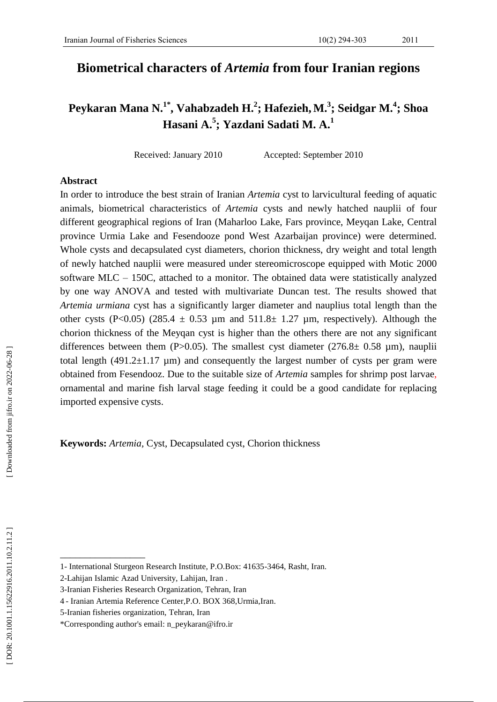# **Biometrical characters of** *Artemia* **from four Iranian regions**

# **Peykaran Mana N. 1 \* , Vahabzadeh H. 2 ; Hafezieh , M. 3 ; Seidgar M. 4 ; Shoa Hasani A. 5 ; Yazdani Sadati M. A. 1**

Received: January 2010 Accepted: September 2010

## **Abstract**

In order to introduce the best strain of Iranian *Artemia* cyst to larvicultural feeding of aquatic animal s, biometrical characteristics of *Artemia* cysts and newly hatched nauplii of four different geographical regions of Iran (Maharloo Lake, Fars province, Meyqan Lake, Central province Urmia Lake and Fesendooze pond West Azarbaijan province) were determined. Whole cyst s and decapsulated cyst diameters, chorion thickness, dry weight and total length of newly hatched nauplii were measured under stereomicroscope equipped with Motic 2000 software MLC – 150C, attached to a monitor. The obtained data were statistically analyzed by one way ANOVA and tested with multivariate Duncan test. The results showed that *Artemia urmiana* cyst has a significantly larger diameter and nauplius total length than the other cysts (P<0.05) (285.4  $\pm$  0.53 µm and 511.8 $\pm$  1.27 µm, respectively). Although the chorion thickness of the Meyqan cyst is higher than the others there are not any significant differences between them (P>0.05). The smallest cyst diameter (276.8 $\pm$  0.58 µm), nauplii total length  $(491.2 \pm 1.17 \mu m)$  and consequently the largest number of cysts per gram were obtained from Fesendooz. Due to the suitable size of *Artemia* samples for shrimp post larvae , ornamental and marine fish larval stage feeding it could be a good candidate for replacing imported expensive cysts.

**Keywords:** *Artemia ,* Cyst, Decapsulated cyst, Chorion thickness

\_\_\_\_\_\_\_\_\_\_\_\_\_\_\_\_\_

<sup>1-</sup> International Sturgeon Research Institute, P.O.Box: 41635 -3464, Rasht, Iran.

<sup>2</sup> -Lahijan Islamic Azad University, Lahijan, Iran .

<sup>3</sup> -Iranian Fisheries Research Organization, Tehran, Iran

<sup>4</sup> - Iranian Artemia Reference Center,P.O . BOX 368,Urmia,Iran .

<sup>5</sup> -Iranian fisheries organization, Tehran, Iran

<sup>\*</sup>Corresponding author's email: [n\\_peykaran@ifro.ir](mailto:n_peykaran@ifro.ir)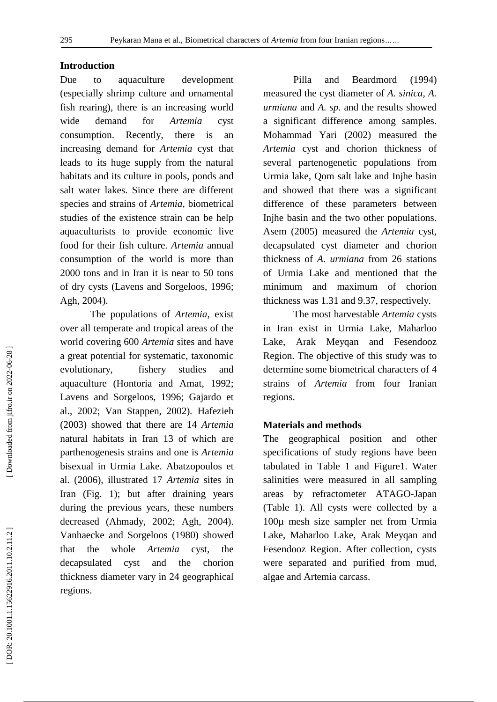# **Introduction**

Due to aquaculture development (especially shrimp culture and ornamental fish rearing), there is an increasing world wide demand for *Artemia* cyst consumption. Recently, there is an increasing demand for *Artemia* cyst that leads to its huge supply from the natural habitats and its culture in pools, ponds and salt water lakes. Since there are different species and strains of *Artemia*, biometrical studies of the existence strain can be help aquaculturists to provide economic live food for their fish culture. *Artemia* annual consumption of the world is more than 2000 tons and in Iran it is near to 50 tons of dry cysts (Lavens and Sorgeloos, 1996; Agh, 2004).

The populations of *Artemia* , exist over all temperate and tropical areas of the world covering 600 *Artemia* sites and have a great potential for systematic, taxonomic evolutionary, fishery studies and aquaculture (Hontoria and Amat, 1992 ; Lavens and Sorgeloos, 1996 ; Gajardo et al., 2002; Van Stappen, 2002)*.* Hafezieh (2003) showed that there are 14 *Artemia* natural habitats in Iran 13 of which are parthenogenesis strain s and one is *Artemia* bisexual in Urmia Lake. Abatzopoulos et al. (2006 ), illustrated 17 *Artemia* sites in Iran (Fig. 1) ; but after draining years during the previous years, these numbers decreased (Ahmady, 2002; Agh, 2004). Vanhaecke and Sorgeloos (1980 ) showed that the whole *Artemia* cyst, the decapsulated cyst and the chorion thickness diameter var y in 24 geographical regions.

Pilla and Beardmord (1994 ) measured the cyst diameter of *A. sinica, A. urmiana* and *A. sp.* and the results showed a significant difference among samples. Mohammad Yari (2002 ) measured the *Artemia* cyst and chorion thickness of several partenogenetic populations from Urmia lake, Qom salt lake and Inj he basin and showed that there was a significant difference of these parameters between Injhe basin and the two other populations. Asem (2005 ) measured the *Artemia* cyst, decapsulated cyst diameter and chorion thickness of *A. urmiana* from 26 stations of Urmia Lake and mentioned that the minimum and maximum of chorion thickness was 1.31 and 9.37, respectively.

The most harvestable *Artemia* cysts in Iran exist in Urmia Lake, Maharloo Lake, Arak Meyqan and Fesendooz Region. The objective of this study was to determine some biometrical characters of 4 strains of *Artemia* from four Iranian regions .

## **Materials and methods**

The geographical position and other specifications of study regions have been tabulated in Table 1 and Figure1. Water salinities were measured in all sampling areas by refractometer ATAGO -Japan (Table 1). All cysts were collected by a 100µ mesh size sampler net from Urmia Lake, Maharloo Lake, Arak Meyqan and Fesendooz Region. After collection, cysts were separated and purified from mud, algae and Artemia carcass.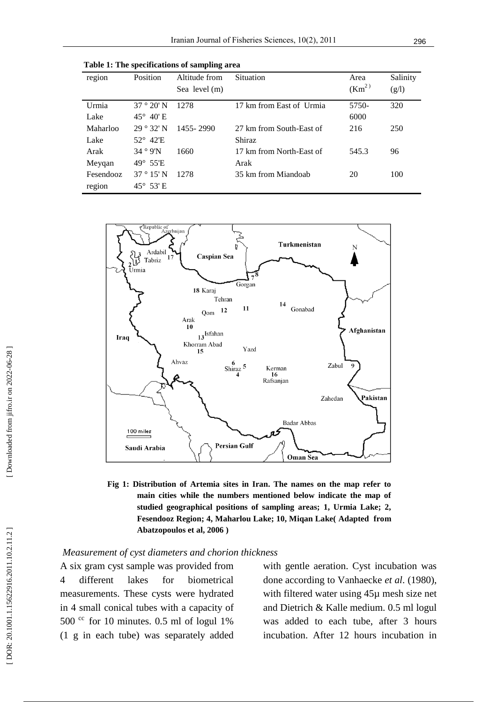**Table 1: The specifications of sampling area**

| region    | Position           | Altitude from | Situation                | Area               | Salinity |
|-----------|--------------------|---------------|--------------------------|--------------------|----------|
|           |                    | Sea level (m) |                          | (Km <sup>2</sup> ) | (g/l)    |
| Urmia     | $37°20'$ N         | 1278          | 17 km from East of Urmia | 5750-              | 320      |
| Lake      | $45^{\circ}$ 40' E |               |                          | 6000               |          |
| Maharloo  | $29°32'$ N         | 1455 - 2990   | 27 km from South-East of | 216                | 250      |
| Lake      | $52^{\circ}$ 42'E  |               | Shiraz                   |                    |          |
| Arak      | 34°9'N             | 1660          | 17 km from North-East of | 545.3              | 96       |
| Meyqan    | $49^\circ$ 55'E    |               | Arak                     |                    |          |
| Fesendooz | $37°15'$ N         | 1278          | 35 km from Miandoab      | 20                 | 100      |
| region    | $45^{\circ}$ 53' E |               |                          |                    |          |



**Fig 1: Distribution of Artemia sites in Iran. The names on the map refer to main cities while the numbers mentioned below indicate the map of studied geographical positions of sampling areas; 1, Urmia Lake; 2, Fesendooz Region; 4 , Maharl ou Lake; 10, Mi qan Lake( Adapted from Abatzopoulos et al, 2006 )**

## *Measurement of cyst diameters and chorion thickness*

A six gram cyst sample was provided from 4 different lakes for biometrical measurements. These cysts were hydrated in 4 small conical tubes with a capacity of 500 $\degree$  for 10 minutes. 0.5 ml of logul 1% (1 g in each tube) was separately added

with gentle aeration. Cyst incubation was done according to Vanhaecke *et al*. (1980), with filtered water using  $45\mu$  mesh size net and Dietrich & Kalle medium. 0.5 ml logul was added to each tube, after 3 hours incubation. After 12 hours incubation in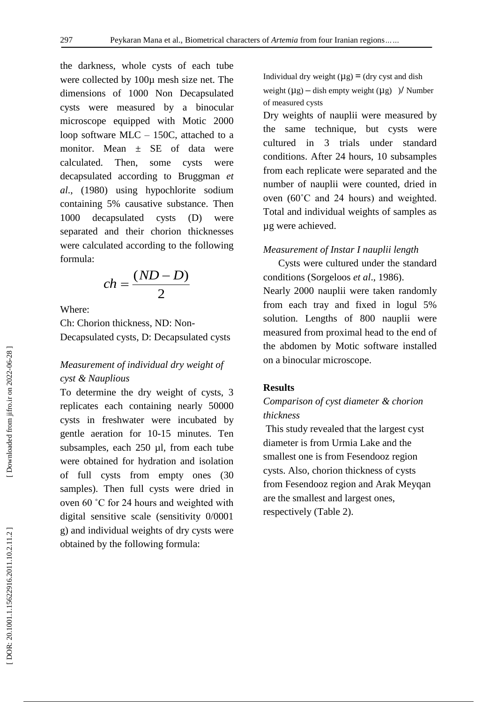the darkness, whole cysts of each tube were collected by 100µ mesh size net. The dimensions of 1000 Non Decapsulated cysts were measured by a binocular microscope equipped with Motic 2000 loop software MLC – 150C, attached to a monitor. Mean  $\pm$  SE of data were calculated. Then, some cysts were decapsulated according to Bruggman *et al*., (1980) using hypochlorite sodium containing 5% causative substance. Then 1000 decapsulated cysts (D) were separated and their chorion thicknesses were calculated according to the following formula:

$$
ch = \frac{(ND - D)}{2}
$$

Where:

Ch: Chorion thickness, ND: Non - Decapsulated cysts, D: Decapsulated cysts

# *Measurement of individual dry weight of cyst & Nauplious*

To determine the dry weight of cysts, 3 replicates each containing nearly 50000 cysts in freshwater were incubated by gentle aeration for 10 -15 minutes. Ten subsamples, each 250 µl, from each tube were obtained for hydration and isolation of full cysts from empty ones (30 samples). Then full cysts were dried in oven 60 °C for 24 hours and weighted with digital sensitive scale (sensitivity 0/0001 g) and individual weights of dry cysts were obtained by the following formula:

Individual dry weight  $(\mu g) = (dy \text{ cyst and dish})$ weight  $(\mu g)$  – dish empty weight  $(\mu g)$  ) / Number of measured cysts

Dry weights of nauplii were measured by the same technique, but cysts were cultured in 3 trials under standard conditions. After 24 hours, 10 subsamples from each replicate were separated and the number of nauplii were counted, dried in oven (60˚C and 24 hours) and weighted. Total and individual weights of samples as µg were achieved.

#### *Measurement of Instar I nauplii length*

 Cysts were cultured under the standard conditions (Sorgeloos *et al*., 1986).

Nearly 2000 nauplii were taken randomly from each tray and fixed in logul 5% solution. Lengths of 800 nauplii were measured from proximal head to the end of the abdomen by Motic software installed on a binocular microscope.

#### **Results**

# *Comparison of cyst diameter & chorion thickness*

This study revealed that the largest cyst diameter is from Urmia Lake and the smallest one is from Fesendooz region cysts. Also, chorion thickness of cysts from Fesendooz region and Arak Meyqan are the smallest and largest ones, respectively (Table 2).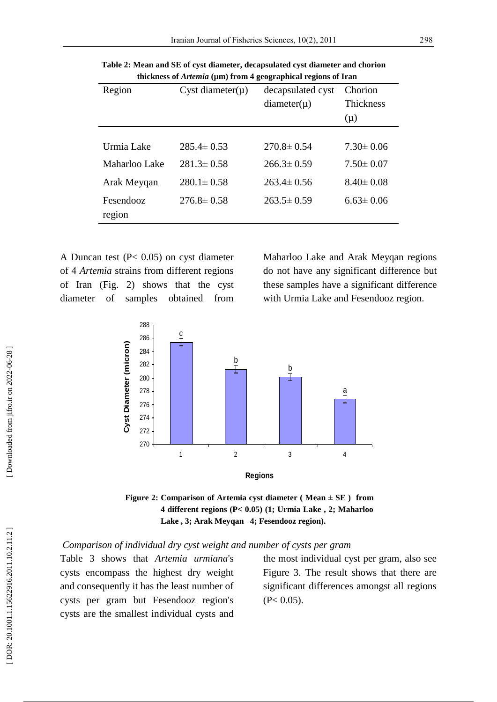| Region        | Cyst diameter( $\mu$ ) | decapsulated cyst | Chorion          |
|---------------|------------------------|-------------------|------------------|
|               |                        | $diameter(\mu)$   | <b>Thickness</b> |
|               |                        |                   | $(\mu)$          |
|               |                        |                   |                  |
| Urmia Lake    | $285.4 \pm 0.53$       | $270.8 \pm 0.54$  | $7.30 \pm 0.06$  |
| Maharloo Lake | $281.3 \pm 0.58$       | $266.3 \pm 0.59$  | $7.50 \pm 0.07$  |
| Arak Meygan   | $280.1 \pm 0.58$       | $263.4 \pm 0.56$  | $8.40 \pm 0.08$  |
| Fesendooz     | $276.8 \pm 0.58$       | $263.5 \pm 0.59$  | $6.63 \pm 0.06$  |
| region        |                        |                   |                  |

**Table 2: Mean and SE of cyst diameter, decapsulated cyst diameter and chorion thickness of** *Artemia* **(µm) from 4 geographical regions of Iran**

A Duncan test (P< 0.05) on cyst diameter of 4 *Artemia* strains from different regions of Iran (Fig. 2) shows that the cyst diameter of samples obtained from Maharloo Lake and Arak Meyqan regions do not have any significant difference but these samples have a significant difference with Urmia Lake and Fesendooz region .



**Figure 2: Comparison of Artemia cyst diameter ( Mean**  ± **SE ) from 4 different regions (P< 0.05) (1; Urmia Lake , 2; Maharloo Lake , 3; Arak Meyqan 4; Fesendooz region).**

*Comparison of individual dry cyst weight and number of cyst s per gram*

Table 3 shows that *Artemia urmiana*'s cysts encompass the highest dry weight and consequently it has the least number of cyst s per gram but Fesendooz region's cysts are the smallest individual cyst s and the most individual cyst per gram, also see Figure 3. The result shows that there are significant differences amongst all regions  $(P< 0.05)$ .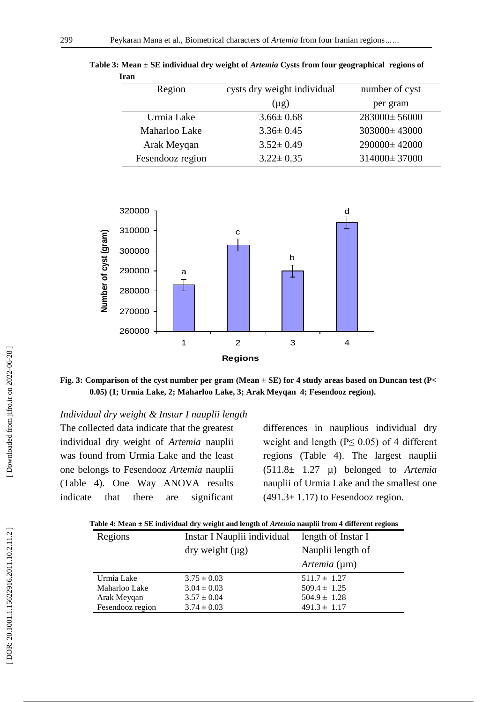| Region |                  | cysts dry weight individual | number of cyst     |
|--------|------------------|-----------------------------|--------------------|
|        |                  | $(\mu g)$                   | per gram           |
|        | Urmia Lake       | $3.66 \pm 0.68$             | $283000 \pm 56000$ |
|        | Maharloo Lake    | $3.36 \pm 0.45$             | $303000 \pm 43000$ |
|        | Arak Meyqan      | $3.52 \pm 0.49$             | 290000±42000       |
|        | Fesendooz region | $3.22 \pm 0.35$             | 314000±37000       |

**Table 3: Mean**  $\pm$  **SE individual dry weight of** *Artemia* **Cysts from four geographical regions of Iran**



**Fig. 3: Comparison of the cyst number per gram (Mean** ± **SE) for 4 study area s based on Duncan test (P< 0.05) (1; Urmia Lake, 2; Maharloo Lake, 3; Arak Meyqan 4; Fesendooz region).**

*Individual dry weight & Instar I nauplii length*

The collected data indicate that the greatest individual dry weight of *Artemia* nauplii was found from Urmia Lake and the least one belongs to Fesendooz *Artemia* nauplii (Table 4). One Way ANOVA results indicate that there are significant

difference s in nauplious individual dry weight and length ( $P \leq 0.05$ ) of 4 different regions (Table 4). The largest nauplii (511.8± 1.27 µ) belonged to *Artemia* nauplii of Urmia Lake and the smallest one  $(491.3 \pm 1.17)$  to Fesendooz region.

| Table 4: Mean ± SE individual dry weight and length of <i>Artemia</i> nauplii from 4 different regions |  |  |  |
|--------------------------------------------------------------------------------------------------------|--|--|--|
|--------------------------------------------------------------------------------------------------------|--|--|--|

| Regions          | Instar I Nauplii individual            | length of Instar I |
|------------------|----------------------------------------|--------------------|
|                  | $\frac{dy}{dx}$ weight $\frac{dy}{dx}$ | Nauplii length of  |
|                  |                                        | Artemia (µm)       |
| Urmia Lake       | $3.75 \pm 0.03$                        | $511.7 \pm 1.27$   |
| Maharloo Lake    | $3.04 \pm 0.03$                        | $509.4 \pm 1.25$   |
| Arak Meyqan      | $3.57 \pm 0.04$                        | $504.9 \pm 1.28$   |
| Fesendooz region | $3.74 \pm 0.03$                        | $491.3 \pm 1.17$   |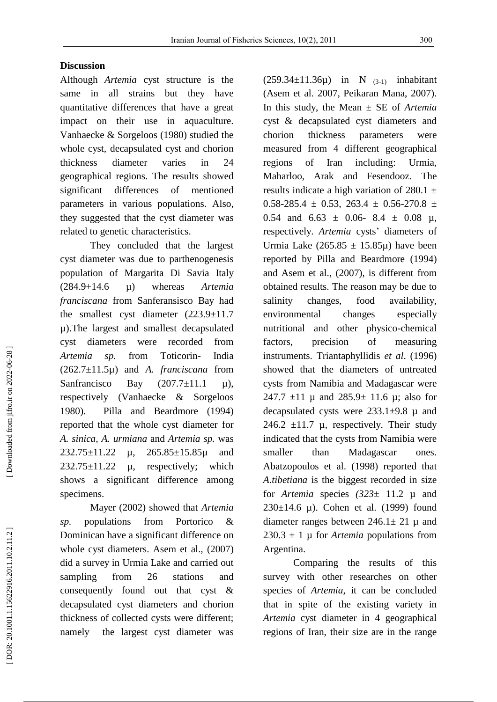# **Discussion**

Although *Artemia* cyst structure is the same in all strains but they have quantitative differences that have a great impact on their use in aquaculture. Vanhaecke & Sorgeloos (1980) studied the whole cyst, decapsulated cyst and chorion thickness diameter varies in 24 geographical regions. The results showed significant differences of mentioned parameters in various populations. Also, they suggested that the cyst diameter was related to genetic characteristics.

They concluded that the largest cyst diameter was due to parthenogenesis population of Margarita Di Savia Italy (284.9+14.6 µ) whereas *Artemia franciscana* from Sanferansisco Bay had the smallest cyst diameter (223.9±11.7 µ).The largest and smallest decapsulated cyst diameter were recorded from *Artemia sp.* from Toticorin - India (262.7±11.5µ) and *A. franciscana* from Sanfrancisco Bay  $(207.7 \pm 11.1 \mu)$ , respectively (Vanhaecke & Sorgeloos 1980). Pilla and Beardmore (1994) reported that the whole cyst diameter for *A. sinica, A. urmiana* and *Artemia sp.* was 232.75±11.22 µ, 265.85±15.85µ and  $232.75\pm11.22$  µ, respectively; which show s a significant difference among specimens.

Mayer (2002) showed that *Artemia sp.* populations from Portorico & Dominican have a significant difference on whole cyst diameter s. Asem et al., (2007 ) did a survey in Urmia Lake and carried out sampling from 26 stations and consequently found out that cyst & decapsulated cyst diameters and chorion thickness of collected cysts were different; namely the largest cyst diameter was

 $(259.34 \pm 11.36 \mu)$  in N  $_{(3-1)}$  inhabitant (Asem et al. 2007, Peikaran Mana, 2007). In this study, the Mean ± SE of *Artemia* cyst & decapsulated cyst diameters and chorion thickness parameters were measured from 4 different geographical regions of Iran including: Urmia, Maharloo, Arak and Fesendooz. The results indicate a high variation of 280.1  $\pm$ <br>0.58-285.4  $\pm$  0.53, 263.4  $\pm$  0.56-270.8  $\pm$ 0.54 and  $6.63 \pm 0.06$ -  $8.4 \pm 0.08$   $\mu$ , respectively. Artemia cysts' diameters of Urmia Lake  $(265.85 \pm 15.85\mu)$  have been reported by Pilla and Beardmore (1994) and Asem et al., (2007), is different from obtained results. The reason may be due to salinity changes, food availability, environmental changes especially nutritional and other physico -chemical factors, precision of measuring instruments. Triantaphyllidis *et al*. (1996) showed that the diameters of untreated cysts from Namibia and Madagascar were 247.7  $\pm$ 11 µ and 285.9 $\pm$  11.6 µ; also for decapsulated cysts were  $233.1\pm9.8$  µ and 246.2  $\pm$ 11.7 µ, respectively. Their study indicated that the cysts from Namibia were smaller than Madagascar ones. Abatzopoulos et al. (1998) reported that *A.tibetiana* is the biggest recorded in size for *Artemia* species *(323*± 11.2 µ and 230 $\pm$ 14.6 µ). Cohen et al. (1999) found diameter ranges between  $246.1 \pm 21$  µ and  $230.3 \pm 1$  µ for *Artemia* populations from Argentina.

Comparing the results of this survey with other researches on other species of *Artemia*, it can be concluded that in spite of the existing variety in *Artemia* cyst diameter in 4 geographical regions of Iran, their size are in the range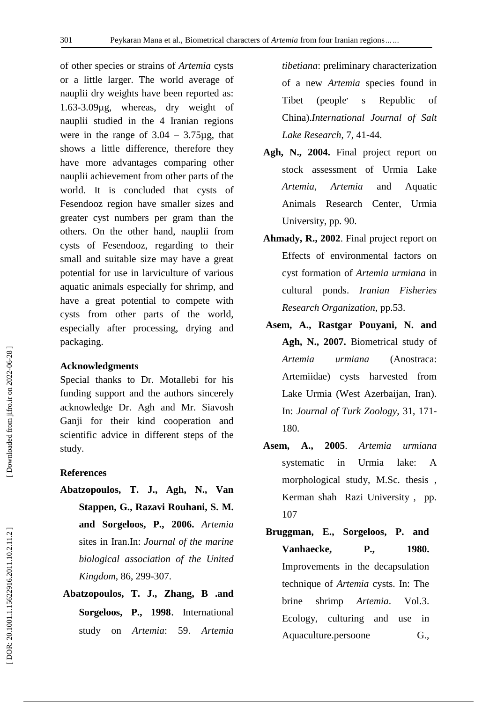of other species or strains of *Artemia* cysts or a little larger. The world average of nauplii dry weights have been reported as: 1.63 -3.09µg, whereas, dry weight of nauplii studied in the 4 Iranian regions were in the range of  $3.04 - 3.75\mu$ g, that shows a little difference, therefore they have more advantages comparing other nauplii achievement from other parts of the world. It is concluded that cysts of Fesendooz region have smaller sizes and greater cyst number s per gram than the others. On the other hand, nauplii from cysts of Fesendooz, regarding to their small and suitable size may have a great potential for use in larviculture of various aquatic animals especially for shrimp, and have a great potential to compete with cysts from other parts of the world, especially after processing, drying and packaging.

# **Acknowledgment s**

Special thanks to Dr. Motallebi for his funding support and the authors sincerely acknowledge Dr. Agh and Mr. Siavosh Ganji for their kind cooperation and scientific advice in different steps of the study.

# **References**

- **Abatzopoulos, T. J., Agh, N., Van Stappen, G., Razavi Rouhani, S. M. and Sorgeloos, P. , 2006.** *Artemia* sites in Iran.In: *Journal of the marine biological association of the United Kingdom* , 86, 299 -307.
- **Abatzopoulos, T. J., Zhang, B .and Sorgeloos, P. , 1998** . International study o n *Artemia*: 59. *Artemia*

*tibetiana*: preliminary characterization of a new *Artemia* species found in Tibet (people<sup>-</sup> s Republic of China).*International Journal of Salt Lake Research* , 7, 41 -44.

- **Agh, N. , 2004.** Final project report on stock assessment of Urmia Lake *Artemia*, *Artemia* and Aquatic Animals Research Center, Urmia University, pp. 90.
- **Ahmady, R. , 2002**. Final project report on Effects of environmental factors on cyst formation of *Artemia urmiana* in cultural ponds. *Iranian Fisheries Research Organization*, pp.53 .
- **Asem, A. , Rastgar Pouyani, N. and Agh, N. , 2007.** Biometrical study of *Artemia urmiana* (Anostraca: Artemiidae) cysts harvested from Lake Urmia (West Azerbaijan, Iran). In: *Journal of Turk Zoology*, 31, 171-180.
- **Asem, A., 2005**. *Artemia urmiana* systematic in Urmia lake: A morphological study, M.Sc. thesis , Kerman shah Razi University , pp. 107
- **Bruggman, E., Sorgeloos, P. and Vanhaecke, P. , 1980.** Improvements in the decapsulation technique of *Artemia* cysts. In: The brine shrimp *Artemia*. Vol.3. Ecology, culturing and use in Aquaculture.persoone G.,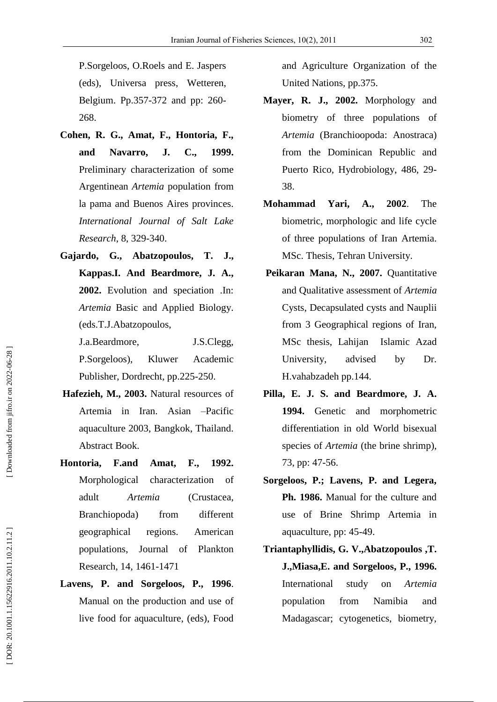P.Sorgeloos, O.Roels and E. Jaspers (eds), Universa press, Wetteren, Belgium. Pp.357 -372 and pp: 260 - 268.

- **Cohen, R. G., Amat, F., Hontoria, F., and Navarro, J. C., 1999.** Preliminary characterization of some Argentinean *Artemia* population from la pama and Buenos Aires provinces. *International Journal of Salt Lake Research*, 8, 329 -340.
- **Gajardo, G., Abatzopoulos, T. J., Kappas.I. And Beardmore, J. A. , 2002.** Evolution and speciation .In: *Artemia* Basic and Applied Biology. (eds.T.J.Abatzopoulos,

J.a.Beardmore, J.S.Clegg, P.Sorgeloos), Kluwer Academic Publisher, Dordrecht, pp.225 -250.

- **Hafezieh, M. , 2003.** Natural resources of Artemia in Iran. Asian –Pacific aquaculture 2003, Bangkok, Thailand. Abstract Book.
- **Hontoria, F.and Amat, F., 1992.**  Morphological characterization of adult *Artemia* (Crustacea, Branchiopoda) from different geographical regions. American populations, Journal of Plankton Research , 14 , 1461 -1471
- **Lavens, P. and Sorgeloos, P. , 1996**. Manual on the production and use of live food for aquaculture, (eds), Food

and Agriculture Organization of the United Nations, pp.375.

- **Mayer, R. J. , 2002.** Morphology and biometry of three populations of *Artemia* (Branchioopoda: Anostraca) from the Dominican Republic and Puerto Rico, Hydrobiology, 486, 29 - 38.
- **Mohammad Yari, A. , 2002**. The biometric, morphologic and life cycle of three populations of Iran Artemia. MSc. Thesis, Tehran University.
- **Peikaran Mana, N. , 2007.** Quantitative and Qualitative assessment of *Artemia* Cysts, Decapsulated cysts and Nauplii from 3 Geographical regions of Iran, MSc thesis, Lahijan Islamic Azad University, advised by Dr. H.vahabzadeh pp.144.
- **Pilla, E. J. S. and Beardmore, J. A. 1994.** Genetic and morphometric differentiation in old World bisexual species of *Artemia* (the brine shrimp), 73, pp: 47 -56.
- **Sorgeloos, P.; Lavens, P. and Legera, Ph. 1986.** Manual for the culture and use of Brine Shrimp Artemia in aquaculture, pp: 45 -49.
- **Triantaphyllidis, G. V.,Abatzopoulos ,T. J.,Miasa,E. and Sorgeloos , P. , 1996.** International study on *Artemia* population from Namibia and Madagascar; cytogenetics, biometry,